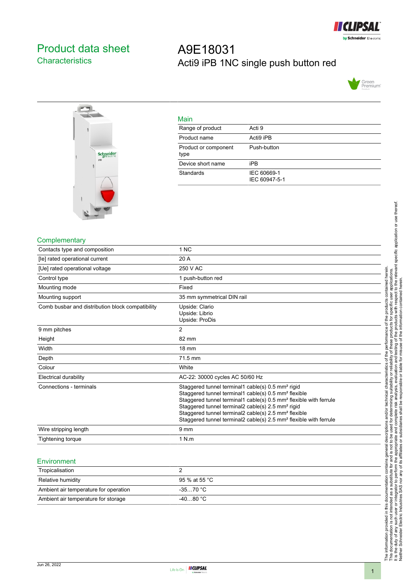

## <span id="page-0-0"></span>Product data sheet **Characteristics**

# A9E18031 Acti9 iPB 1NC single push button red





| Main                         |                              |
|------------------------------|------------------------------|
| Range of product             | Acti 9                       |
| Product name                 | Acti9 iPB                    |
| Product or component<br>type | Push-button                  |
| Device short name            | iPB                          |
| <b>Standards</b>             | IEC 60669-1<br>IEC 60947-5-1 |

#### **Complementary**

| Contacts type and composition                    | 1 NC                                                                                                                                                                                                                                                                                                                                                                                                                                     |
|--------------------------------------------------|------------------------------------------------------------------------------------------------------------------------------------------------------------------------------------------------------------------------------------------------------------------------------------------------------------------------------------------------------------------------------------------------------------------------------------------|
| [le] rated operational current                   | 20 A                                                                                                                                                                                                                                                                                                                                                                                                                                     |
| [Ue] rated operational voltage                   | 250 V AC                                                                                                                                                                                                                                                                                                                                                                                                                                 |
| Control type                                     | 1 push-button red                                                                                                                                                                                                                                                                                                                                                                                                                        |
| Mounting mode                                    | Fixed                                                                                                                                                                                                                                                                                                                                                                                                                                    |
| Mounting support                                 | 35 mm symmetrical DIN rail                                                                                                                                                                                                                                                                                                                                                                                                               |
| Comb busbar and distribution block compatibility | Upside: Clario<br>Upside: Librio<br>Upside: ProDis                                                                                                                                                                                                                                                                                                                                                                                       |
| 9 mm pitches                                     | 2                                                                                                                                                                                                                                                                                                                                                                                                                                        |
| Height                                           | 82 mm                                                                                                                                                                                                                                                                                                                                                                                                                                    |
| Width                                            | $18 \text{ mm}$                                                                                                                                                                                                                                                                                                                                                                                                                          |
| Depth                                            | 71.5 mm                                                                                                                                                                                                                                                                                                                                                                                                                                  |
| Colour                                           | White                                                                                                                                                                                                                                                                                                                                                                                                                                    |
| Electrical durability                            | AC-22: 30000 cycles AC 50/60 Hz                                                                                                                                                                                                                                                                                                                                                                                                          |
| Connections - terminals                          | Staggered tunnel terminal1 cable(s) 0.5 mm <sup>2</sup> rigid<br>Staggered tunnel terminal1 cable(s) 0.5 mm <sup>2</sup> flexible<br>Staggered tunnel terminal1 cable(s) 0.5 mm <sup>2</sup> flexible with ferrule<br>Staggered tunnel terminal2 cable(s) 2.5 mm <sup>2</sup> rigid<br>Staggered tunnel terminal2 cable(s) 2.5 mm <sup>2</sup> flexible<br>Staggered tunnel terminal2 cable(s) 2.5 mm <sup>2</sup> flexible with ferrule |
| Wire stripping length                            | 9 <sub>mm</sub>                                                                                                                                                                                                                                                                                                                                                                                                                          |
| Tightening torque                                | 1 N.m                                                                                                                                                                                                                                                                                                                                                                                                                                    |

#### Environment

| Tropicalisation                       |               |
|---------------------------------------|---------------|
| Relative humidity                     | 95 % at 55 °C |
| Ambient air temperature for operation | -35…70 °C     |
| Ambient air temperature for storage   | $-4080 °C$    |